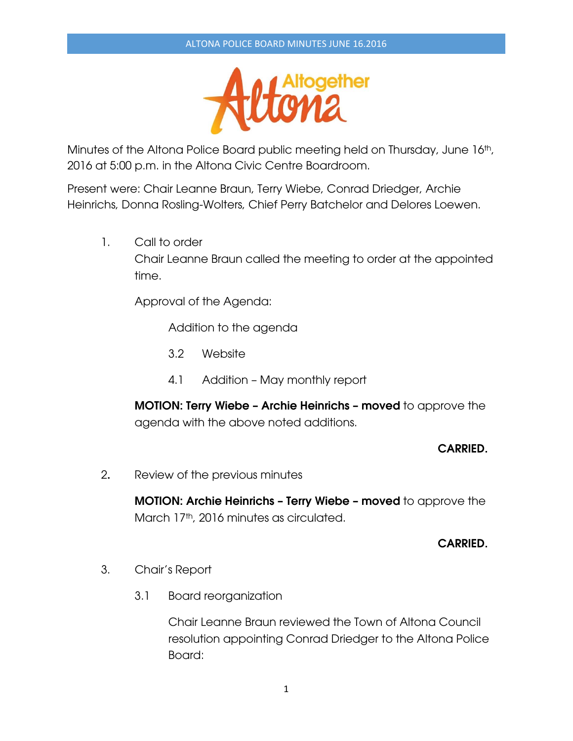

Minutes of the Altona Police Board public meeting held on Thursday, June 16th, 2016 at 5:00 p.m. in the Altona Civic Centre Boardroom.

Present were: Chair Leanne Braun, Terry Wiebe, Conrad Driedger, Archie Heinrichs, Donna Rosling-Wolters, Chief Perry Batchelor and Delores Loewen.

1. Call to order Chair Leanne Braun called the meeting to order at the appointed time.

Approval of the Agenda:

Addition to the agenda

- 3.2 Website
- 4.1 Addition May monthly report

**MOTION: Terry Wiebe – Archie Heinrichs – moved** to approve the agenda with the above noted additions.

### **CARRIED.**

2**.** Review of the previous minutes

**MOTION: Archie Heinrichs – Terry Wiebe – moved** to approve the March 17<sup>th</sup>, 2016 minutes as circulated.

### **CARRIED.**

- 3. Chair's Report
	- 3.1 Board reorganization

Chair Leanne Braun reviewed the Town of Altona Council resolution appointing Conrad Driedger to the Altona Police Board: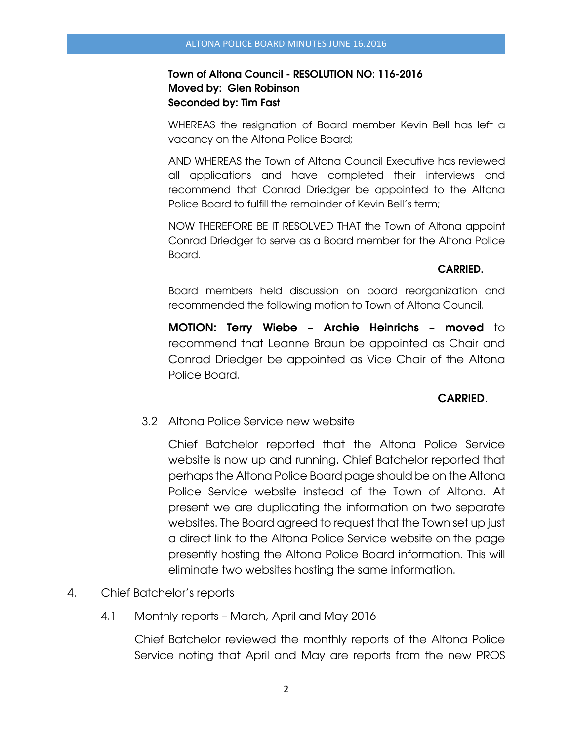## **Town of Altona Council - RESOLUTION NO: 116-2016 Moved by: Glen Robinson Seconded by: Tim Fast**

 WHEREAS the resignation of Board member Kevin Bell has left a vacancy on the Altona Police Board;

 AND WHEREAS the Town of Altona Council Executive has reviewed all applications and have completed their interviews and recommend that Conrad Driedger be appointed to the Altona Police Board to fulfill the remainder of Kevin Bell's term;

 NOW THEREFORE BE IT RESOLVED THAT the Town of Altona appoint Conrad Driedger to serve as a Board member for the Altona Police Board.

### **CARRIED.**

 Board members held discussion on board reorganization and recommended the following motion to Town of Altona Council.

**MOTION: Terry Wiebe – Archie Heinrichs – moved** to recommend that Leanne Braun be appointed as Chair and Conrad Driedger be appointed as Vice Chair of the Altona Police Board.

# **CARRIED**.

3.2 Altona Police Service new website

 Chief Batchelor reported that the Altona Police Service website is now up and running. Chief Batchelor reported that perhaps the Altona Police Board page should be on the Altona Police Service website instead of the Town of Altona. At present we are duplicating the information on two separate websites. The Board agreed to request that the Town set up just a direct link to the Altona Police Service website on the page presently hosting the Altona Police Board information. This will eliminate two websites hosting the same information.

- 4. Chief Batchelor's reports
	- 4.1 Monthly reports March, April and May 2016

Chief Batchelor reviewed the monthly reports of the Altona Police Service noting that April and May are reports from the new PROS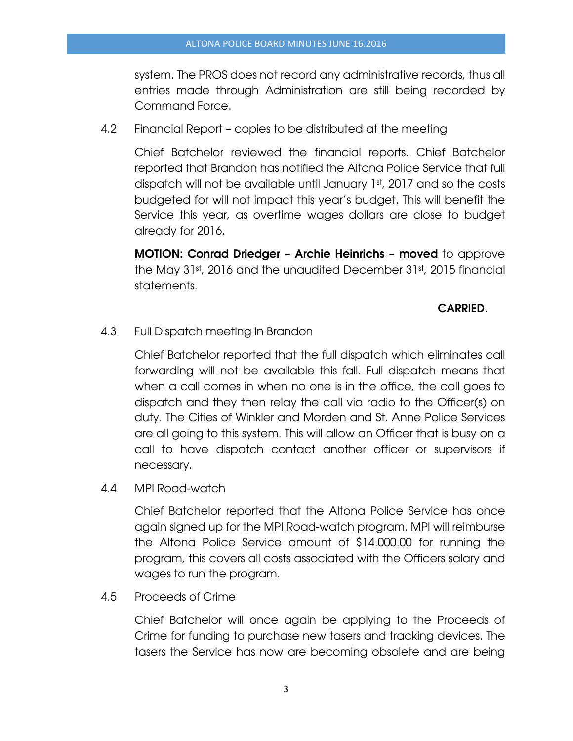system. The PROS does not record any administrative records, thus all entries made through Administration are still being recorded by Command Force.

4.2 Financial Report – copies to be distributed at the meeting

Chief Batchelor reviewed the financial reports. Chief Batchelor reported that Brandon has notified the Altona Police Service that full dispatch will not be available until January 1st, 2017 and so the costs budgeted for will not impact this year's budget. This will benefit the Service this year, as overtime wages dollars are close to budget already for 2016.

**MOTION: Conrad Driedger – Archie Heinrichs – moved** to approve the May 31st, 2016 and the unaudited December 31st, 2015 financial statements.

## **CARRIED.**

4.3 Full Dispatch meeting in Brandon

Chief Batchelor reported that the full dispatch which eliminates call forwarding will not be available this fall. Full dispatch means that when a call comes in when no one is in the office, the call goes to dispatch and they then relay the call via radio to the Officer(s) on duty. The Cities of Winkler and Morden and St. Anne Police Services are all going to this system. This will allow an Officer that is busy on a call to have dispatch contact another officer or supervisors if necessary.

4.4 MPI Road-watch

Chief Batchelor reported that the Altona Police Service has once again signed up for the MPI Road-watch program. MPI will reimburse the Altona Police Service amount of \$14.000.00 for running the program, this covers all costs associated with the Officers salary and wages to run the program.

4.5 Proceeds of Crime

Chief Batchelor will once again be applying to the Proceeds of Crime for funding to purchase new tasers and tracking devices. The tasers the Service has now are becoming obsolete and are being